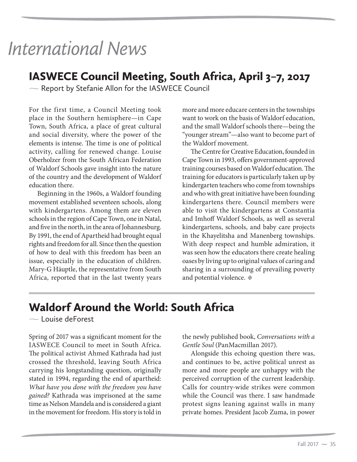## Waldorf Around the World: South Africa

 $\sim$  Louise deForest

Spring of 2017 was a significant moment for the IASWECE Council to meet in South Africa. The political activist Ahmed Kathrada had just crossed the threshold, leaving South Africa carrying his longstanding question, originally stated in 1994, regarding the end of apartheid: *What have you done with the freedom you have gained?* Kathrada was imprisoned at the same time as Nelson Mandela and is considered a giant in the movement for freedom. His story is told in the newly published book, *Conversations with a Gentle Soul* (PanMacmillan 2017).

Alongside this echoing question there was, and continues to be, active political unrest as more and more people are unhappy with the perceived corruption of the current leadership. Calls for country-wide strikes were common while the Council was there. I saw handmade protest signs leaning against walls in many private homes. President Jacob Zuma, in power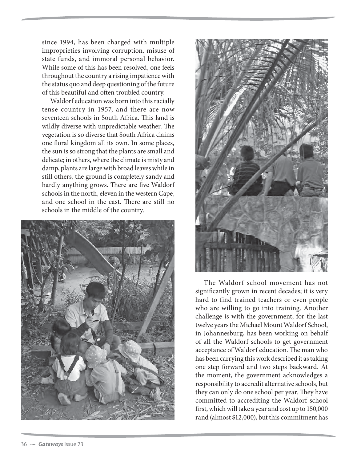since 1994, has been charged with multiple improprieties involving corruption, misuse of state funds, and immoral personal behavior. While some of this has been resolved, one feels throughout the country a rising impatience with the status quo and deep questioning of the future of this beautiful and often troubled country.

Waldorf education was born into this racially tense country in 1957, and there are now seventeen schools in South Africa. This land is wildly diverse with unpredictable weather. The vegetation is so diverse that South Africa claims one floral kingdom all its own. In some places, the sun is so strong that the plants are small and delicate; in others, where the climate is misty and damp, plants are large with broad leaves while in still others, the ground is completely sandy and hardly anything grows. There are five Waldorf schools in the north, eleven in the western Cape, and one school in the east. There are still no schools in the middle of the country.





The Waldorf school movement has not significantly grown in recent decades; it is very hard to find trained teachers or even people who are willing to go into training. Another challenge is with the government; for the last twelve years the Michael Mount Waldorf School, in Johannesburg, has been working on behalf of all the Waldorf schools to get government acceptance of Waldorf education. The man who has been carrying this work described it as taking one step forward and two steps backward. At the moment, the government acknowledges a responsibility to accredit alternative schools, but they can only do one school per year. They have committed to accrediting the Waldorf school first, which will take a year and cost up to 150,000 rand (almost \$12,000), but this commitment has